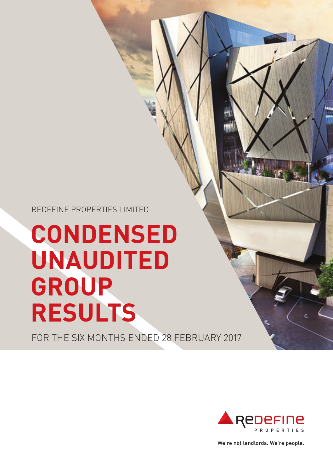REDEFINE PROPERTIES LIMITED

# **CONDENSED UNAUDITED GROUP RESULTS**

FOR THE SIX MONTHS ENDED 28 FEBRUARY 2017



We're not landlords. We're people.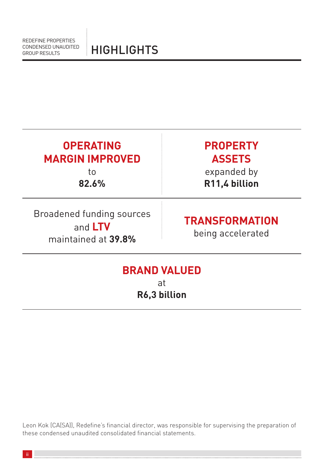| <b>OPERATING</b><br><b>MARGIN IMPROVED</b><br>to<br>82.6%                                                 | <b>PROPERTY</b><br><b>ASSETS</b><br>expanded by<br>R11,4 billion |  |  |  |  |
|-----------------------------------------------------------------------------------------------------------|------------------------------------------------------------------|--|--|--|--|
| Broadened funding sources<br><b>TRANSFORMATION</b><br>and LTV<br>being accelerated<br>maintained at 39.8% |                                                                  |  |  |  |  |
| <b>BRAND VALUED</b><br>at                                                                                 |                                                                  |  |  |  |  |

**R6,3 billion**

Leon Kok (CA(SA)), Redefine's financial director, was responsible for supervising the preparation of these condensed unaudited consolidated financial statements.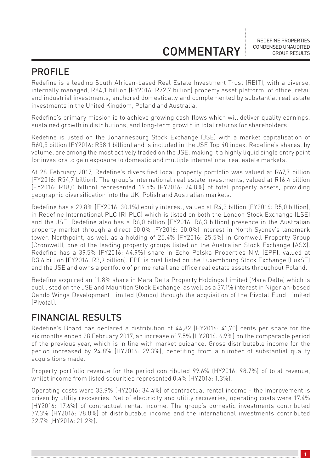REDEFINE PROPERTIES CONDENSED UNAUDITED GROUP RESULTS

### PROFILE

Redefine is a leading South African-based Real Estate Investment Trust (REIT), with a diverse, internally managed, R84,1 billion (FY2016: R72,7 billion) property asset platform, of office, retail and industrial investments, anchored domestically and complemented by substantial real estate investments in the United Kingdom, Poland and Australia.

Redefine's primary mission is to achieve growing cash flows which will deliver quality earnings, sustained growth in distributions, and long-term growth in total returns for shareholders.

Redefine is listed on the Johannesburg Stock Exchange (JSE) with a market capitalisation of R60,5 billion (FY2016: R58,1 billion) and is included in the JSE Top 40 index. Redefine's shares, by volume, are among the most actively traded on the JSE, making it a highly liquid single entry point for investors to gain exposure to domestic and multiple international real estate markets.

At 28 February 2017, Redefine's diversified local property portfolio was valued at R67,7 billion (FY2016: R54,7 billion). The group's international real estate investments, valued at R16,4 billion (FY2016: R18,0 billion) represented 19.5% (FY2016: 24.8%) of total property assets, providing geographic diversification into the UK, Polish and Australian markets.

Redefine has a 29.8% (FY2016: 30.1%) equity interest, valued at R4,3 billion (FY2016: R5,0 billion), in Redefine International PLC (RI PLC) which is listed on both the London Stock Exchange (LSE) and the JSE. Redefine also has a R6,0 billion (FY2016: R6,3 billion) presence in the Australian property market through a direct 50.0% (FY2016: 50.0%) interest in North Sydney's landmark tower, Northpoint, as well as a holding of 25.4% (FY2016: 25.5%) in Cromwell Property Group (Cromwell), one of the leading property groups listed on the Australian Stock Exchange (ASX). Redefine has a 39.5% (FY2016: 44.9%) share in Echo Polska Properties N.V. (EPP), valued at R3,6 billion (FY2016: R3,9 billion). EPP is dual listed on the Luxembourg Stock Exchange (LuxSE) and the JSE and owns a portfolio of prime retail and office real estate assets throughout Poland.

Redefine acquired an 11.8% share in Mara Delta Property Holdings Limited (Mara Delta) which is dual listed on the JSE and Mauritian Stock Exchange, as well as a 37.1% interest in Nigerian-based Oando Wings Development Limited (Oando) through the acquisition of the Pivotal Fund Limited (Pivotal).

### FINANCIAL RESULTS

Redefine's Board has declared a distribution of 44,82 (HY2016: 41,70) cents per share for the six months ended 28 February 2017, an increase of 7.5% (HY2016: 6.9%) on the comparable period of the previous year, which is in line with market guidance. Gross distributable income for the period increased by 24.8% (HY2016: 29.3%), benefiting from a number of substantial quality acquisitions made.

Property portfolio revenue for the period contributed 99.6% (HY2016: 98.7%) of total revenue, whilst income from listed securities represented 0.4% (HY2016: 1.3%).

Operating costs were 33.9% (HY2016: 34.4%) of contractual rental income - the improvement is driven by utility recoveries. Net of electricity and utility recoveries, operating costs were 17.4% (HY2016: 17.6%) of contractual rental income. The group's domestic investments contributed 77.3% (HY2016: 78.8%) of distributable income and the international investments contributed 22.7% (HY2016: 21.2%).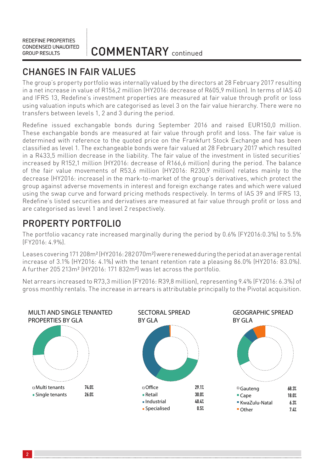COMMENTARY continued

### CHANGES IN FAIR VALUES

The group's property portfolio was internally valued by the directors at 28 February 2017 resulting in a net increase in value of R156,2 million (HY2016: decrease of R605,9 million). In terms of IAS 40 and IFRS 13, Redefine's investment properties are measured at fair value through profit or loss using valuation inputs which are categorised as level 3 on the fair value hierarchy. There were no transfers between levels 1, 2 and 3 during the period.

Redefine issued exchangable bonds during September 2016 and raised EUR150,0 million. These exchangable bonds are measured at fair value through profit and loss. The fair value is determined with reference to the quoted price on the Frankfurt Stock Exchange and has been classified as level 1. The exchangeable bonds were fair valued at 28 February 2017 which resulted in a R433,5 million decrease in the liability. The fair value of the investment in listed securities' increased by R152,1 million (HY2016: decrease of R166,6 million) during the period. The balance of the fair value movements of R53,6 million (HY2016: R230,9 million) relates mainly to the decrease (HY2016: increase) in the mark-to-market of the group's derivatives, which protect the group against adverse movements in interest and foreign exchange rates and which were valued using the swap curve and forward pricing methods respectively. In terms of IAS 39 and IFRS 13, Redefine's listed securities and derivatives are measured at fair value through profit or loss and are categorised as level 1 and level 2 respectively.

### PROPERTY PORTFOLIO

The portfolio vacancy rate increased marginally during the period by 0.6% (FY2016:0.3%) to 5.5% (FY2016: 4.9%).

Leases covering 171 208m² (HY2016: 282 070m²) were renewed during the period at an average rental increase of 3.1% (HY2016: 4.1%) with the tenant retention rate a pleasing 86.0% (HY2016: 83.0%). A further 205 213m² (HY2016: 171 832m²) was let across the portfolio.

Net arrears increased to R73,3 million (FY2016: R39,8 million), representing 9.4% (FY2016: 6.3%) of gross monthly rentals. The increase in arrears is attributable principally to the Pivotal acquisition.

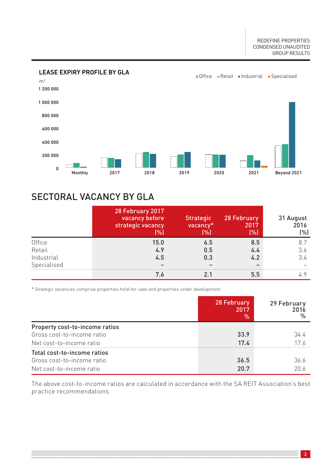

### SECTORAL VACANCY BY GLA

|             | 28 February 2017<br>vacancy before<br>strategic vacancy<br>(%) | <b>Strategic</b><br>vacancy*<br>(%) | 28 February<br>2017<br>[%] | 31 August<br>2016<br>(%) |
|-------------|----------------------------------------------------------------|-------------------------------------|----------------------------|--------------------------|
| Office      | 15.0                                                           | 6.5                                 | 8.5                        |                          |
| Retail      | 4.9                                                            | 0.5                                 | 4.4                        | 3.6                      |
| Industrial  | 4.5                                                            | 0.3                                 | 4.2                        | 34                       |
| Specialised |                                                                |                                     |                            |                          |
|             | 7.6                                                            |                                     | 5.5                        |                          |

\* Strategic vacancies comprise properties held-for-sale and properties under development.

|                                | 28 February<br>2017<br>$\%$ | 29 February<br>2016 |
|--------------------------------|-----------------------------|---------------------|
| Property cost-to-income ratios |                             |                     |
| Gross cost-to-income ratio     | 33.9                        | 34 4                |
| Net cost-to-income ratio       | 17 <sub>L</sub>             | 17 6                |
| Total cost-to-income ratios    |                             |                     |
| Gross cost-to-income ratio     | 36.5                        | 36 6                |
| Net cost-to-income ratio       | 207                         | 201                 |

The above cost-to-income ratios are calculated in accordance with the SA REIT Association's best practice recommendations.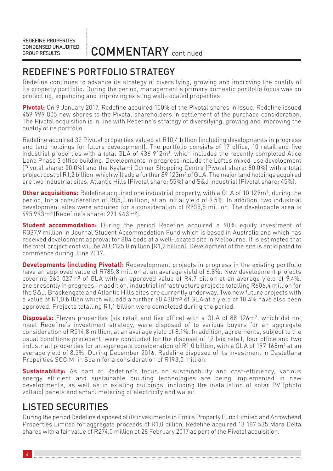COMMENTARY continued

### REDEFINE'S PORTFOLIO STRATEGY

Redefine continues to advance its strategy of diversifying, growing and improving the quality of its property portfolio. During the period, management's primary domestic portfolio focus was on protecting, expanding and improving existing well-located properties.

**Pivotal:** On 9 January 2017, Redefine acquired 100% of the Pivotal shares in issue. Redefine issued 459 999 805 new shares to the Pivotal shareholders in settlement of the purchase consideration. The Pivotal acquisition is in line with Redefine's strategy of diversifying, growing and improving the quality of its portfolio.

Redefine acquired 32 Pivotal properties valued at R10,4 billion (including developments in progress and land holdings for future development). The portfolio consists of 17 office, 10 retail and five industrial properties with a total GLA of 436 912m², which includes the recently completed Alice Lane Phase 3 office building. Developments in progress include the Loftus mixed-use development (Pivotal share: 50.0%) and the Kyalami Corner Shopping Centre (Pivotal share: 80.0%) with a total project cost of R1,2 billion, which will add a further 89 123m² of GLA. The major land holdings acquired are two industrial sites, Atlantic Hills (Pivotal share: 55%) and S&J Industrial (Pivotal share: 45%).

**Other acquisitions:** Redefine acquired one industrial property, with a GLA of 10 129m<sup>2</sup>, during the period, for a consideration of R85,0 million, at an initial yield of 9.5%. In addition, two industrial development sites were acquired for a consideration of R238,8 million. The developable area is 495 993m² (Redefine's share: 271 443m²).

**Student accommodation:** During the period Redefine acquired a 90% equity investment of R337,9 million in Journal Student Accommodation Fund which is based in Australia and which has received development approval for 804 beds at a well-located site in Melbourne. It is estimated that the total project cost will be AUD125,0 million (R1,2 billion). Development of the site is anticipated to commence during June 2017.

**Developments (including Pivotal):** Redevelopment projects in progress in the existing portfolio have an approved value of R785,8 million at an average yield of 6.8%. New development projects covering  $265027m^2$  of GLA with an approved value of R4,7 billion at an average yield of  $9.4\%$ , are presently in progress. In addition, industrial infrastructure projects totalling R606,4 million for the S&J, Brackengate and Atlantic Hills sites are currently underway. Two new future projects with a value of R1,0 billion which will add a further 60 438m² of GLA at a yield of 10.4% have also been approved. Projects totalling R1,1 billion were completed during the period.

**Disposals:** Eleven properties (six retail and five office) with a GLA of 88 126m², which did not meet Redefine's investment strategy, were disposed of to various buyers for an aggregate consideration of R514,8 million, at an average yield of 8.1%. In addition, agreements, subject to the usual conditions precedent, were concluded for the disposal of 12 (six retail, four office and two industrial) properties for an aggregate consideration of R1,0 billion, with a GLA of 197 168m² at an average yield of 8.5%. During December 2016, Redefine disposed of its investment in Castellana Properties SOCIMI in Spain for a consideration of R193,0 million.

**Sustainability:** As part of Redefine's focus on sustainability and cost-efficiency, various energy efficient and sustainable building technologies are being implemented in new developments, as well as in existing buildings, including the installation of solar PV (photo voltaic) panels and smart metering of electricity and water.

### LISTED SECURITIES

During the period Redefine disposed of its investments in Emira Property Fund Limited and Arrowhead Properties Limited for aggregate proceeds of R1,0 billion. Redefine acquired 13 187 535 Mara Delta shares with a fair value of R274,0 million at 28 February 2017 as part of the Pivotal acquisition.

4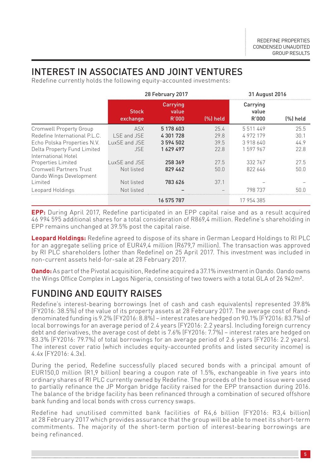### INTEREST IN ASSOCIATES AND JOINT VENTURES

Redefine currently holds the following equity-accounted investments:

|                                                    | 28 February 2017         |                            |          | 31 August 2016             |          |
|----------------------------------------------------|--------------------------|----------------------------|----------|----------------------------|----------|
|                                                    | <b>Stock</b><br>exchange | Carrying<br>value<br>R'000 | [%] held | Carrying<br>value<br>R'000 | [%] held |
| <b>Cromwell Property Group</b>                     | <b>ASX</b>               | 5 178 603                  | 25.4     | 5511449                    | 25.5     |
| Redefine International P.L.C.                      | I SE and JSE             | 4301728                    | 29.8     | 4972179                    | 30.1     |
| Echo Polska Properties N.V.                        | LuxSE and JSE            | 3594502                    | 39.5     | 3918640                    | 44.9     |
| Delta Property Fund Limited<br>International Hotel | <b>JSF</b>               | 1629497                    | 22.8     | 1597967                    | 22.8     |
| Properties Limited                                 | uxSE and JSE             | 258 369                    | 27.5     | 332 767                    | 27.5     |
| Cromwell Partners Trust<br>Oando Wings Development | Not listed               | 829 462                    | 50.0     | 822 646                    | 50.0     |
| Limited                                            | Not listed               | 783 626                    | 37.1     |                            |          |
| Leopard Holdings                                   | Not listed               |                            |          | 798 737                    | 50 N     |
|                                                    |                          | 16 575 787                 |          | 17 954 385                 |          |

**EPP:** During April 2017, Redefine participated in an EPP capital raise and as a result acquired 46 994 595 additional shares for a total consideration of R869,4 million. Redefine's shareholding in EPP remains unchanged at 39.5% post the capital raise.

**Leopard Holdings:** Redefine agreed to dispose of its share in German Leopard Holdings to RI PLC for an aggregate selling price of EUR49,4 million (R679,7 million). The transaction was approved by RI PLC shareholders (other than Redefine) on 25 April 2017. This investment was included in non-current assets held-for-sale at 28 February 2017.

**Oando:** As part of the Pivotal acquisition, Redefine acquired a 37.1% investment in Oando. Oando owns the Wings Office Complex in Lagos Nigeria, consisting of two towers with a total GLA of 26 942m².

### FUNDING AND EQUITY RAISES

Redefine's interest-bearing borrowings (net of cash and cash equivalents) represented 39.8% (FY2016: 38.5%) of the value of its property assets at 28 February 2017. The average cost of Randdenominated funding is 9.2% (FY2016: 8.8%) – interest rates are hedged on 90.1% (FY2016: 83.7%) of local borrowings for an average period of 2.4 years (FY2016: 2.2 years). Including foreign currency debt and derivatives, the average cost of debt is 7.6% (FY2016: 7.7%) – interest rates are hedged on 83.3% (FY2016: 79.7%) of total borrowings for an average period of 2.6 years (FY2016: 2.2 years). The interest cover ratio (which includes equity-accounted profits and listed security income) is 4.4x (FY2016: 4.3x).

During the period, Redefine successfully placed secured bonds with a principal amount of EUR150,0 million (R1,9 billion) bearing a coupon rate of 1.5%, exchangeable in five years into ordinary shares of RI PLC currently owned by Redefine. The proceeds of the bond issue were used to partially refinance the JP Morgan bridge facility raised for the EPP transaction during 2016. The balance of the bridge facility has been refinanced through a combination of secured offshore bank funding and local bonds with cross currency swaps.

Redefine had unutilised committed bank facilities of R4,6 billion (FY2016: R3,4 billion) at 28 February 2017 which provides assurance that the group will be able to meet its short-term commitments. The majority of the short-term portion of interest-bearing borrowings are being refinanced.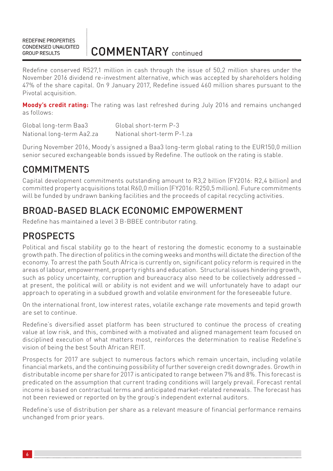Redefine conserved R527,1 million in cash through the issue of 50,2 million shares under the November 2016 dividend re-investment alternative, which was accepted by shareholders holding 47% of the share capital. On 9 January 2017, Redefine issued 460 million shares pursuant to the Pivotal acquisition.

**Moody's credit rating:** The rating was last refreshed during July 2016 and remains unchanged as follows:

| Global long-term Baa3     | Global short-term P-3      |
|---------------------------|----------------------------|
| National long-term Aa2.za | National short-term P-1.za |

During November 2016, Moody's assigned a Baa3 long-term global rating to the EUR150,0 million senior secured exchangeable bonds issued by Redefine. The outlook on the rating is stable.

### COMMITMENTS

Capital development commitments outstanding amount to R3,2 billion (FY2016: R2,4 billion) and committed property acquisitions total R60,0 million (FY2016: R250,5 million). Future commitments will be funded by undrawn banking facilities and the proceeds of capital recycling activities.

### BROAD-BASED BLACK ECONOMIC EMPOWERMENT

Redefine has maintained a level 3 B-BBEE contributor rating.

### PROSPECTS

Political and fiscal stability go to the heart of restoring the domestic economy to a sustainable growth path. The direction of politics in the coming weeks and months will dictate the direction of the economy. To arrest the path South Africa is currently on, significant policy reform is required in the areas of labour, empowerment, property rights and education. Structural issues hindering growth, such as policy uncertainty, corruption and bureaucracy also need to be collectively addressed – at present, the political will or ability is not evident and we will unfortunately have to adapt our approach to operating in a subdued growth and volatile environment for the foreseeable future.

On the international front, low interest rates, volatile exchange rate movements and tepid growth are set to continue.

Redefine's diversified asset platform has been structured to continue the process of creating value at low risk, and this, combined with a motivated and aligned management team focused on disciplined execution of what matters most, reinforces the determination to realise Redefine's vision of being the best South African REIT.

Prospects for 2017 are subject to numerous factors which remain uncertain, including volatile financial markets, and the continuing possibility of further sovereign credit downgrades. Growth in distributable income per share for 2017 is anticipated to range between 7% and 8%. This forecast is predicated on the assumption that current trading conditions will largely prevail. Forecast rental income is based on contractual terms and anticipated market-related renewals. The forecast has not been reviewed or reported on by the group's independent external auditors.

Redefine's use of distribution per share as a relevant measure of financial performance remains unchanged from prior years.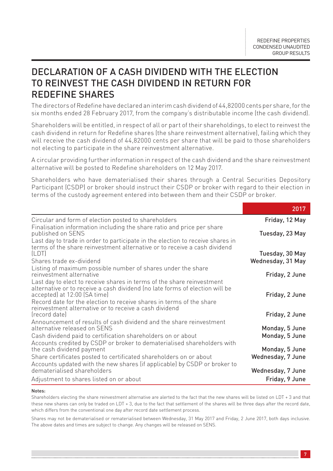### DECLARATION OF A CASH DIVIDEND WITH THE ELECTION TO REINVEST THE CASH DIVIDEND IN RETURN FOR REDEFINE SHARES

The directors of Redefine have declared an interim cash dividend of 44,82000 cents per share, for the six months ended 28 February 2017, from the company's distributable income (the cash dividend).

Shareholders will be entitled, in respect of all or part of their shareholdings, to elect to reinvest the cash dividend in return for Redefine shares (the share reinvestment alternative), failing which they will receive the cash dividend of 44,82000 cents per share that will be paid to those shareholders not electing to participate in the share reinvestment alternative.

A circular providing further information in respect of the cash dividend and the share reinvestment alternative will be posted to Redefine shareholders on 12 May 2017.

Shareholders who have dematerialised their shares through a Central Securities Depository Participant (CSDP) or broker should instruct their CSDP or broker with regard to their election in terms of the custody agreement entered into between them and their CSDP or broker.

|                                                                                                                                                                                                                                                                | 2017              |
|----------------------------------------------------------------------------------------------------------------------------------------------------------------------------------------------------------------------------------------------------------------|-------------------|
| Circular and form of election posted to shareholders                                                                                                                                                                                                           | Friday, 12 May    |
| Finalisation information including the share ratio and price per share<br>published on SENS                                                                                                                                                                    | Tuesday, 23 May   |
| Last day to trade in order to participate in the election to receive shares in<br>terms of the share reinvestment alternative or to receive a cash dividend                                                                                                    |                   |
| (LDT)                                                                                                                                                                                                                                                          | Tuesday, 30 May   |
| Shares trade ex-dividend                                                                                                                                                                                                                                       | Wednesday, 31 May |
| Listing of maximum possible number of shares under the share<br>reinvestment alternative                                                                                                                                                                       | Friday, 2 June    |
| Last day to elect to receive shares in terms of the share reinvestment<br>alternative or to receive a cash dividend (no late forms of election will be<br>accepted) at 12:00 (SA time)<br>Record date for the election to receive shares in terms of the share | Friday, 2 June    |
| reinvestment alternative or to receive a cash dividend<br>(record date)                                                                                                                                                                                        | Friday, 2 June    |
| Announcement of results of cash dividend and the share reinvestment<br>alternative released on SENS                                                                                                                                                            | Monday, 5 June    |
| Cash dividend paid to certification shareholders on or about                                                                                                                                                                                                   | Monday, 5 June    |
| Accounts credited by CSDP or broker to dematerialised shareholders with<br>the cash dividend payment                                                                                                                                                           | Monday, 5 June    |
| Share certificates posted to certificated shareholders on or about                                                                                                                                                                                             | Wednesday, 7 June |
| Accounts updated with the new shares (if applicable) by CSDP or broker to<br>dematerialised shareholders                                                                                                                                                       | Wednesday, 7 June |
| Adjustment to shares listed on or about                                                                                                                                                                                                                        | Friday, 9 June    |

#### Notes:

Shareholders electing the share reinvestment alternative are alerted to the fact that the new shares will be listed on LDT + 3 and that these new shares can only be traded on LDT + 3, due to the fact that settlement of the shares will be three days after the record date, which differs from the conventional one day after record date settlement process.

Shares may not be dematerialised or rematerialised between Wednesday, 31 May 2017 and Friday, 2 June 2017, both days inclusive. The above dates and times are subject to change. Any changes will be released on SENS.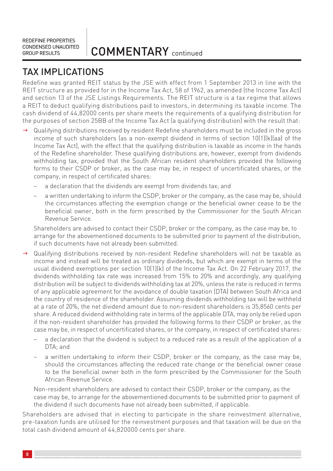### TAX IMPLICATIONS

Redefine was granted REIT status by the JSE with effect from 1 September 2013 in line with the REIT structure as provided for in the Income Tax Act, 58 of 1962, as amended (the Income Tax Act) and section 13 of the JSE Listings Requirements. The REIT structure is a tax regime that allows a REIT to deduct qualifying distributions paid to investors, in determining its taxable income. The cash dividend of 44,82000 cents per share meets the requirements of a qualifying distribution for the purposes of section 25BB of the Income Tax Act (a qualifying distribution) with the result that:

- $\rightarrow$  Qualifying distributions received by resident Redefine shareholders must be included in the gross income of such shareholders (as a non-exempt dividend in terms of section 10(1)(k)(aa) of the Income Tax Act), with the effect that the qualifying distribution is taxable as income in the hands of the Redefine shareholder. These qualifying distributions are, however, exempt from dividends withholding tax, provided that the South African resident shareholders provided the following forms to their CSDP or broker, as the case may be, in respect of uncertificated shares, or the company, in respect of certificated shares:
	- a declaration that the dividends are exempt from dividends tax; and
	- a written undertaking to inform the CSDP, broker or the company, as the case may be, should the circumstances affecting the exemption change or the beneficial owner cease to be the beneficial owner, both in the form prescribed by the Commissioner for the South African Revenue Service.

Shareholders are advised to contact their CSDP, broker or the company, as the case may be, to arrange for the abovementioned documents to be submitted prior to payment of the distribution, if such documents have not already been submitted.

- g Qualifying distributions received by non-resident Redefine shareholders will not be taxable as income and instead will be treated as ordinary dividends, but which are exempt in terms of the usual dividend exemptions per section 10(1)(k) of the Income Tax Act. On 22 February 2017, the dividends withholding tax rate was increased from 15% to 20% and accordingly, any qualifying distribution will be subject to dividends withholding tax at 20%, unless the rate is reduced in terms of any applicable agreement for the avoidance of double taxation (DTA) between South Africa and the country of residence of the shareholder. Assuming dividends withholding tax will be withheld at a rate of 20%, the net dividend amount due to non-resident shareholders is 35,8560 cents per share. A reduced dividend withholding rate in terms of the applicable DTA, may only be relied upon if the non-resident shareholder has provided the following forms to their CSDP or broker, as the case may be, in respect of uncertificated shares, or the company, in respect of certificated shares:
	- a declaration that the dividend is subject to a reduced rate as a result of the application of a  $DTA \cdot$  and
	- a written undertaking to inform their CSDP, broker or the company, as the case may be, should the circumstances affecting the reduced rate change or the beneficial owner cease to be the beneficial owner both in the form prescribed by the Commissioner for the South African Revenue Service.

Non-resident shareholders are advised to contact their CSDP, broker or the company, as the case may be, to arrange for the abovementioned documents to be submitted prior to payment of the dividend if such documents have not already been submitted, if applicable.

Shareholders are advised that in electing to participate in the share reinvestment alternative, pre-taxation funds are utilised for the reinvestment purposes and that taxation will be due on the total cash dividend amount of 44,820000 cents per share.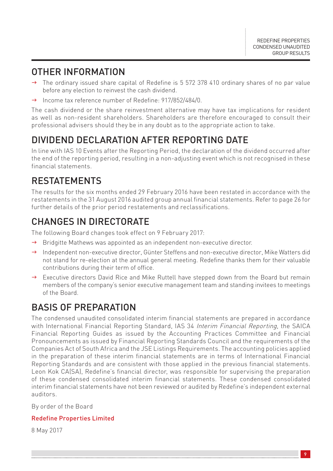### OTHER INFORMATION

- The ordinary issued share capital of Redefine is 5 572 378 410 ordinary shares of no par value before any election to reinvest the cash dividend.
- Income tax reference number of Redefine: 917/852/484/0.

The cash dividend or the share reinvestment alternative may have tax implications for resident as well as non-resident shareholders. Shareholders are therefore encouraged to consult their professional advisers should they be in any doubt as to the appropriate action to take.

### DIVIDEND DECLARATION AFTER REPORTING DATE

In line with IAS 10 Events after the Reporting Period, the declaration of the dividend occurred after the end of the reporting period, resulting in a non-adjusting event which is not recognised in these financial statements.

### RESTATEMENTS

The results for the six months ended 29 February 2016 have been restated in accordance with the restatements in the 31 August 2016 audited group annual financial statements. Refer to page 26 for further details of the prior period restatements and reclassifications.

### CHANGES IN DIRECTORATE

The following Board changes took effect on 9 February 2017:

- $\rightarrow$  Bridgitte Mathews was appointed as an independent non-executive director.
- $\rightarrow$  Independent non-executive director, Günter Steffens and non-executive director, Mike Watters did not stand for re-election at the annual general meeting. Redefine thanks them for their valuable contributions during their term of office.
- $\rightarrow$  Executive directors David Rice and Mike Ruttell have stepped down from the Board but remain members of the company's senior executive management team and standing invitees to meetings of the Board.

### BASIS OF PREPARATION

The condensed unaudited consolidated interim financial statements are prepared in accordance with International Financial Reporting Standard, IAS 34 Interim Financial Reporting, the SAICA Financial Reporting Guides as issued by the Accounting Practices Committee and Financial Pronouncements as issued by Financial Reporting Standards Council and the requirements of the Companies Act of South Africa and the JSE Listings Requirements. The accounting policies applied in the preparation of these interim financial statements are in terms of International Financial Reporting Standards and are consistent with those applied in the previous financial statements. Leon Kok CA(SA), Redefine's financial director, was responsible for supervising the preparation of these condensed consolidated interim financial statements. These condensed consolidated interim financial statements have not been reviewed or audited by Redefine's independent external auditors.

By order of the Board

### Redefine Properties Limited

8 May 2017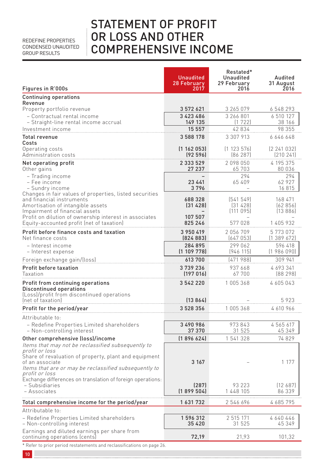### STATEMENT OF PROFIT OR LOSS AND OTHER COMPREHENSIVE INCOME

| Figures in R'000s                                                             | <b>Unaudited</b><br>28 February<br>2017 | Restated*<br>Unaudited<br>29 February<br>2016 | Audited<br>31 August<br>2016 |
|-------------------------------------------------------------------------------|-----------------------------------------|-----------------------------------------------|------------------------------|
| <b>Continuing operations</b>                                                  |                                         |                                               |                              |
| Revenue<br>Property portfolio revenue                                         | 3 572 621                               | 3 265 079                                     | 6 548 293                    |
| - Contractual rental income                                                   | 3 4 2 3 4 8 6                           | 3 266 801                                     | 6 510 127                    |
| - Straight-line rental income accrual                                         | 149 135                                 | (1722)                                        | 38 166                       |
| Investment income                                                             | 15 557                                  | 42 834                                        | 98 355                       |
| <b>Total revenue</b><br>Costs                                                 | 3 588 178                               | 3 307 913                                     | 6 646 648                    |
| Operating costs<br>Administration costs                                       | (1162053)<br>(92596)                    | (1123576)<br>[86 287]                         | (2241032)<br>(210 241)       |
| Net operating profit                                                          | 2 3 3 5 2 9                             | 2098050                                       | 4 195 375                    |
| Other gains<br>- Trading income                                               | 27 237                                  | 65 703<br>294                                 | 80 036<br>294                |
| – Fee income                                                                  | 23 441                                  | 65 409                                        | 62 927                       |
| - Sundry income<br>Changes in fair values of properties, listed securities    | 3796                                    |                                               | 16 815                       |
| and financial instruments                                                     | 688328                                  | [541 549]                                     | 168 471                      |
| Amortisation of intangible assets<br>Impairment of financial assets           | [31, 428]                               | [31 428]<br>[111 095]                         | [62856]<br>[13886]           |
| Profit on dilution of ownership interest in associates                        | 107 507                                 |                                               |                              |
| Equity-accounted profit (net of taxation)                                     | 825 246                                 | 577 028                                       | 1 405 932                    |
| Profit before finance costs and taxation<br>Net finance costs                 | 3 950 419<br>[824 883]                  | 2056709<br>(647053)                           | 5773072<br>(1389672)         |
| - Interest income<br>- Interest expense                                       | 284895<br>(1109778)                     | 299 062<br>(946 115)                          | 596 418<br>(1986090)         |
| Foreign exchange gain/(loss)                                                  | 613 700                                 | (471988)                                      | 309 941                      |
| Profit before taxation<br>Taxation                                            | 3739236<br>(197016)                     | 937 668<br>67 700                             | 4 693 341<br>[88 298]        |
| Profit from continuing operations                                             | 3 542 220                               | 1005368                                       | 4 605 043                    |
| Discontinued operations<br>(Loss)/profit from discontinued operations         |                                         |                                               |                              |
| (net of taxation)                                                             | (13864)                                 |                                               | 5923                         |
| Profit for the period/year                                                    | 3 528 356                               | 1005368                                       | 4 610 966                    |
| Attributable to:                                                              |                                         |                                               |                              |
| - Redefine Properties Limited shareholders<br>- Non-controlling interest      | 3 490 986<br>37 370                     | 973843<br>31 525                              | 4 5 6 5 6 1 7<br>45 349      |
| Other comprehensive (loss)/income                                             | [1896624]                               | 1541328                                       | 74829                        |
| Items that may not be reclassified subsequently to<br>profit or loss          |                                         |                                               |                              |
| Share of revaluation of property, plant and equipment                         |                                         |                                               |                              |
| of an associate<br>Items that are or may be reclassified subsequently to      | 3 1 6 7                                 |                                               | 1 1 7 7                      |
| profit or loss                                                                |                                         |                                               |                              |
| Exchange differences on translation of foreign operations:<br>– Subsidiaries  | (287)                                   | 93 223                                        | [12687]                      |
| – Associates                                                                  | (1899504)                               | 1 448 105                                     | 86 339                       |
| Total comprehensive income for the period/year                                | 1631732                                 | .<br>2546696                                  | 4 685 795                    |
| Attributable to:                                                              |                                         |                                               |                              |
| - Redefine Properties Limited shareholders<br>- Non-controlling interest      | 1 596 312<br>35 4 20                    | 2 515 171<br>31 525                           | 4640446<br>45 349            |
| Earnings and diluted earnings per share from<br>continuing operations (cents) | 72,19                                   | 21,93                                         | 101,32                       |
| * Refer to prior period restatements and reclassifications on page 26.        |                                         |                                               |                              |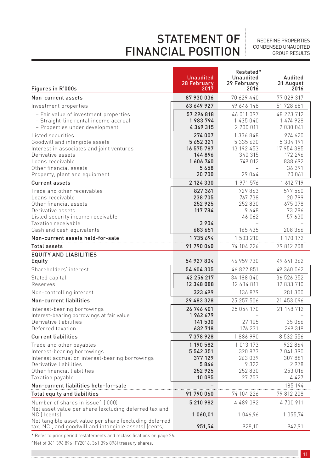# STATEMENT OF FINANCIAL POSITION

REDEFINE PROPERTIES CONDENSED UNAUDITED GROUP RESULTS

| Figures in R'000s                                                                                                                                                                                    | <b>Unaudited</b><br>28 February<br>2017                                       | Restated*<br>Unaudited<br>29 February<br>2016                        | Audited<br>31 August<br>2016                                                 |
|------------------------------------------------------------------------------------------------------------------------------------------------------------------------------------------------------|-------------------------------------------------------------------------------|----------------------------------------------------------------------|------------------------------------------------------------------------------|
| Non-current assets                                                                                                                                                                                   | 87 930 036                                                                    | 70 629 440                                                           | 77 029 317                                                                   |
| Investment properties                                                                                                                                                                                | 63 649 927                                                                    | 49 646 148                                                           | 51 728 681                                                                   |
| - Fair value of investment properties<br>- Straight-line rental income accrual<br>- Properties under development                                                                                     | 57 296 818<br>1983794<br>4 369 315                                            | 46 011 097<br>1 435 040<br>2 200 011                                 | 48 223 712<br>1 474 928<br>2 030 041                                         |
| Listed securities<br>Goodwill and intangible assets<br>Interest in associates and joint ventures<br>Derivative assets<br>Loans receivable<br>Other financial assets<br>Property, plant and equipment | 274 007<br>5 6 5 2 3 2 1<br>16 575 787<br>144896<br>1606740<br>5658<br>20 700 | 1 336 848<br>5 335 620<br>13 192 453<br>340 315<br>749 012<br>29 044 | 974 620<br>5 304 191<br>17 954 385<br>172 296<br>838 692<br>36 391<br>20 061 |
| <b>Current assets</b>                                                                                                                                                                                | 2 124 330                                                                     | 1 971 576                                                            | 1 612 719                                                                    |
| Trade and other receivables<br>Loans receivable<br>Other financial assets<br>Derivative assets<br>Listed security income receivable                                                                  | 827361<br>238 705<br>252 925<br>117 784                                       | 729863<br>767 738<br>252830<br>9648<br>46 062                        | 577560<br>20799<br>675 078<br>73 286<br>57 630                               |
| Taxation receivable<br>Cash and cash equivalents                                                                                                                                                     | 3 9 0 4<br>683 651                                                            | 165 435                                                              | 208 366                                                                      |
| Non-current assets held-for-sale                                                                                                                                                                     | 1735694                                                                       | 1 503 210                                                            | 1 170 172                                                                    |
| <b>Total assets</b>                                                                                                                                                                                  | 91 790 060                                                                    | 74 104 226                                                           | 79 812 208                                                                   |
| <b>EQUITY AND LIABILITIES</b><br>Equity                                                                                                                                                              | 54 927 804                                                                    | 46 959 730                                                           | 49 641 362                                                                   |
| Shareholders' interest                                                                                                                                                                               | 54 604 305                                                                    | 46 822 851                                                           | 49 360 062                                                                   |
| Stated capital<br>Reserves                                                                                                                                                                           | 42 256 217<br>12 348 088                                                      | 34 188 040<br>12 634 811                                             | 36 526 352<br>12 833 710                                                     |
| Non-controlling interest                                                                                                                                                                             | 323 499                                                                       | 136 879                                                              | 281 300                                                                      |
| Non-current liabilities                                                                                                                                                                              | 29 483 328                                                                    | 25 257 506                                                           | 21 453 096                                                                   |
| Interest-bearing borrowings<br>Interest-bearing borrowings at fair value<br>Derivative liabilities<br>Deferred taxation                                                                              | 26 746 401<br>1962679<br>141 530<br>632 718                                   | 25 054 170<br>27 105<br>176 231                                      | 21 148 712<br>35 066<br>269 318                                              |
| <b>Current liabilities</b>                                                                                                                                                                           | 7378928                                                                       | 1886990                                                              | 8 532 556                                                                    |
| Trade and other payables<br>Interest-bearing borrowings<br>Interest accrual on interest-bearing borrowings<br>Derivative liabilities<br>Other financial liabilities                                  | 1 190 582<br>5 542 351<br>377 129<br>5846<br>252 925                          | 1 0 1 3 1 7 3<br>320 873<br>263 039<br>9322<br>252 830               | 922864<br>7 041 390<br>307881<br>2978<br>253 016                             |
| Taxation payable                                                                                                                                                                                     | 10095                                                                         | 27 753                                                               | 4427                                                                         |
| Non-current liabilities held-for-sale                                                                                                                                                                |                                                                               |                                                                      | 185 194                                                                      |
| <b>Total equity and liabilities</b>                                                                                                                                                                  | 91 790 060                                                                    | 74 104 226                                                           | 79 812 208                                                                   |
| Number of shares in issue^ ('000)<br>Net asset value per share (excluding deferred tax and<br>NCI) (cents)                                                                                           | 5 210 982<br>1060,01                                                          | 4 489 092<br>1046,96                                                 | 4700911<br>1 055,74                                                          |
| Net tangible asset value per share (excluding deferred<br>tax, NCI, and goodwill and intangible assetsJ (cents)                                                                                      | 951,54                                                                        | 928,10                                                               | 942.91                                                                       |

\* Refer to prior period restatements and reclassifications on page 26.

^Net of 361 396 896 (FY2016: 361 396 896) treasury shares.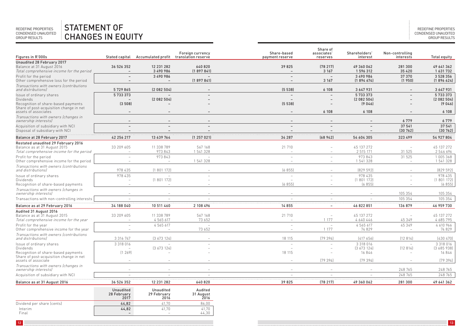#### REDEFINE PROPERTIES CONDENSED UNAUDITED GROUP RESULTS STATEMENT OF CHANGES IN EQUITY

| Figures in R'000s                                                              | Stated capital           | Accumulated profit translation reserve | Foreign currency                                        | Share-based<br>payment reserve | Share of<br>associates'<br>reserves | Shareholders'<br>interest | Non-controlling<br>interests | Total equity       |
|--------------------------------------------------------------------------------|--------------------------|----------------------------------------|---------------------------------------------------------|--------------------------------|-------------------------------------|---------------------------|------------------------------|--------------------|
| Unaudited 28 February 2017                                                     |                          |                                        |                                                         |                                |                                     |                           |                              |                    |
| Balance at 31 August 2016                                                      | 36 526 352               | 12 231 282                             | 640820                                                  | 39 825                         | (78217)                             | 49 360 062                | 281 300                      | 49 641 362         |
| Total comprehensive income for the period                                      | $\overline{\phantom{a}}$ | 3 490 986                              | (1897841)                                               | $\overline{\phantom{a}}$       | 3 1 6 7                             | 1 596 312                 | 35 4 20                      | 1 631 732          |
| Profit for the period                                                          |                          | 3 490 986                              | $\equiv$                                                | ۳                              | $\sim$                              | 3 490 986                 | 37 370                       | 3 528 356          |
| Other comprehensive loss for the period                                        |                          |                                        | (1897841)                                               |                                | 3 1 6 7                             | (1894674)                 | (1950)                       | (1896624)          |
| Transactions with owners (contributions                                        |                          |                                        |                                                         |                                |                                     |                           |                              |                    |
| and distributions)                                                             | 5729865                  | [2 082 504]                            |                                                         | (5538)                         | 6 108                               | 3 6 4 7 9 3 1             |                              | 3647931            |
| Issue of ordinary shares                                                       | 5733373                  |                                        |                                                         | $\equiv$                       | L,                                  | 5733373                   |                              | 5733373            |
| Dividends                                                                      |                          | (2082504)                              |                                                         |                                | $\overline{\phantom{a}}$            | (2082504)                 |                              | (2082504)          |
| Recognition of share-based payments<br>Share of post-acquisition change in net | (3508)                   |                                        |                                                         | (5538)                         |                                     | (9046)                    |                              | (9046)             |
| assets of associates                                                           |                          |                                        |                                                         | $\overline{\phantom{a}}$       | 6 1 0 8                             | 6 1 0 8                   |                              | 6 1 0 8            |
| Transactions with owners (changes in<br>ownership interests)                   | $\overline{\phantom{a}}$ | $\overline{\phantom{m}}$               |                                                         | $\overline{\phantom{a}}$       | $\overline{\phantom{a}}$            | $\overline{\phantom{0}}$  | 6779                         | 6779               |
| Acquisition of subsidiary with NCI                                             |                          |                                        |                                                         |                                |                                     |                           | 37 541                       | 37 541             |
| Disposal of subsidiary with NCI                                                |                          |                                        |                                                         |                                |                                     |                           | [30 762]                     | (30762)            |
| Balance at 28 February 2017                                                    | 42 256 217               | 13 639 764                             | (1257021)                                               | 34 287                         | (68942)                             | 54 604 305                | 323 499                      | 54 927 804         |
| Restated unaudited 29 February 2016                                            |                          |                                        |                                                         |                                |                                     |                           |                              |                    |
| Balance as at 31 August 2015                                                   | 33 209 605               | 11 338 789                             | 567 168                                                 | 21 710                         |                                     | 45 137 272                | $\overline{\phantom{a}}$     | 45 137 272         |
| Total comprehensive income for the period                                      |                          | 973 843                                | 1541328                                                 |                                |                                     | 2 515 171                 | 31 525                       | 2546696            |
| Profit for the period                                                          |                          | 973843                                 |                                                         | ۰                              | $\overline{\phantom{a}}$            | 973843                    | 31 5 25                      | 1005368            |
| Other comprehensive income for the period                                      |                          | $\overline{\phantom{a}}$               | 1 541 328                                               |                                |                                     | 1541328                   |                              | 1541328            |
| Transactions with owners (contributions<br>and distributionsl                  | 978 435                  | [1801172]                              |                                                         | (6855)                         |                                     | [829 592]                 |                              | [829592]           |
| Issue of ordinary shares                                                       | 978 435                  |                                        |                                                         | ٠                              |                                     | 978 435                   |                              | 978 435            |
| Dividends                                                                      |                          | [1801172]                              |                                                         |                                |                                     | [1801172]                 |                              | (1801172)          |
| Recognition of share-based payments                                            |                          | $\overline{\phantom{a}}$               |                                                         | (6855)                         |                                     | (6855)                    |                              | (6855)             |
| Transactions with owners (changes in<br>ownership interests)                   |                          |                                        |                                                         |                                |                                     |                           | 105 354                      | 105 354            |
| Transactions with non-controlling interests                                    |                          |                                        |                                                         |                                | $\overline{\phantom{a}}$            |                           | 105 354                      | 105 354            |
| Balance as at 29 February 2016                                                 | 34 188 040               | 10 511 460                             | 2 108 496                                               | 14855                          | $\overline{\phantom{a}}$            | 46 822 851                | 136 879                      | 46 959 730         |
| <b>Audited 31 August 2016</b>                                                  |                          |                                        |                                                         |                                |                                     |                           |                              |                    |
| Balance as at 31 August 2015                                                   | 33 209 605               | 11 338 789                             | 567 168                                                 | 21 710                         | $\overline{\phantom{a}}$            | 45 137 272                |                              | 45 137 272         |
| Total comprehensive income for the year                                        |                          | 4 5 6 5 6 1 7                          | 73 652                                                  |                                | 1 177                               | 4640446                   | 45349                        | 4 685 795          |
| Profit for the vear                                                            |                          | 4565617                                |                                                         |                                |                                     | 4565617                   | 45349                        | 4 610 966          |
| Other comprehensive income for the year                                        |                          |                                        | 73 652                                                  |                                | 1 1 7 7                             | 74829                     |                              | 74 829             |
| Transactions with owners (contributions                                        |                          |                                        |                                                         |                                |                                     |                           |                              |                    |
| and distributions)                                                             | 3 3 1 6 7 4 7            | [3 673 124]                            |                                                         | 18 115                         | [79 394]                            | [417656]                  | [12 814]                     | [430 470]          |
| Issue of ordinary shares                                                       | 3 3 18 0 16              |                                        |                                                         | ٠                              |                                     | 3 3 18 0 16               | $\overline{\phantom{a}}$     | 3 3 18 0 16        |
| Dividends                                                                      | [1 269]                  | [3 673 124]                            |                                                         | 18 115                         |                                     | [3673124]<br>16846        | [12 814]                     | [3685938]<br>16846 |
| Recognition of share-based payments<br>Share of post-acquisition change in net |                          |                                        |                                                         |                                |                                     |                           |                              |                    |
| assets of associate                                                            |                          |                                        |                                                         |                                | [79 394]                            | [79 394]                  |                              | (79394)            |
| Transactions with owners (changes in                                           |                          |                                        |                                                         |                                |                                     |                           |                              |                    |
| ownership interests)                                                           |                          |                                        |                                                         |                                |                                     |                           | 248 765                      | 248 765            |
| Acquisition of subsidiary with NCI                                             |                          |                                        |                                                         |                                |                                     |                           | 248 765                      | 248 765            |
| Balance as at 31 August 2016                                                   | 36 526 352               | 12 231 282                             | 640820                                                  | 39 825                         | (78217)                             | 49 360 062                | 281 300                      | 49 641 362         |
|                                                                                | Unaudited<br>28 February | Unaudited<br>29 February               | Audited<br>$31$ $\Delta$ <sub>110115</sub> <sup>+</sup> |                                |                                     |                           |                              |                    |

|                            | ---------                | ----------               | .         |
|----------------------------|--------------------------|--------------------------|-----------|
|                            | 28 February              | 29 February              | 31 August |
|                            | 2017                     | 2016                     | 2016      |
| Dividend per share (cents) | 44.82                    | 41                       | 86.00     |
| Interim                    | 44.82                    | 41.70                    | 41.70     |
| Final                      | $\overline{\phantom{0}}$ | $\overline{\phantom{a}}$ | 44.30     |
|                            |                          |                          |           |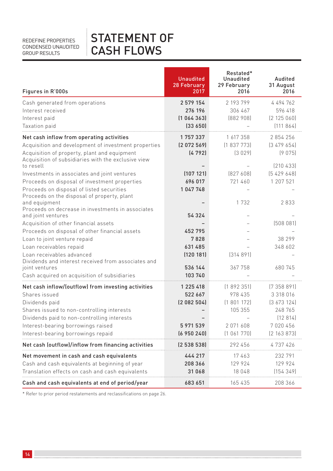# STATEMENT OF CASH FLOWS

| Figures in R'000s                                                                             | <b>Unaudited</b><br>28 February<br>2017 | Restated*<br>Unaudited<br>29 February<br>2016 | Audited<br>31 August<br>2016 |
|-----------------------------------------------------------------------------------------------|-----------------------------------------|-----------------------------------------------|------------------------------|
| Cash generated from operations                                                                | 2 579 154                               | 2 193 799                                     | 4 494 762                    |
| Interest received                                                                             | 276 196                                 | 306 467                                       | 596 418                      |
| Interest paid                                                                                 | [1 064 363]                             | [882908]                                      | [2 125 060]                  |
| Taxation paid                                                                                 | (33650)                                 |                                               | (111864)                     |
| Net cash inflow from operating activities                                                     | 1757337                                 | 1 617 358                                     | 2854256                      |
| Acquisition and development of investment properties                                          | [2 072 569]                             | [1837773]                                     | [3479654]                    |
| Acquisition of property, plant and equipment                                                  | (4792)                                  | (3029)                                        | (9075)                       |
| Acquisition of subsidiaries with the exclusive view<br>to resell                              |                                         |                                               | [210433]                     |
|                                                                                               | (107121)                                | [827608]                                      | [5, 429, 648]                |
| Investments in associates and joint ventures<br>Proceeds on disposal of investment properties | 696 017                                 | 721 460                                       | 1 207 521                    |
| Proceeds on disposal of listed securities                                                     | 1047748                                 |                                               |                              |
| Proceeds on the disposal of property, plant                                                   |                                         |                                               |                              |
| and equipment                                                                                 |                                         | 1 7 3 2                                       | 2833                         |
| Proceeds on decrease in investments in associates<br>and joint ventures                       | 54 324                                  |                                               |                              |
| Acquisition of other financial assets                                                         |                                         |                                               | (508081)                     |
| Proceeds on disposal of other financial assets                                                | 452795                                  |                                               |                              |
| Loan to joint venture repaid                                                                  | 7828                                    |                                               | 38 299                       |
| Loan receivables repaid                                                                       | 631 485                                 |                                               | 348 602                      |
| Loan receivables advanced                                                                     | (120181)                                | [314891]                                      |                              |
| Dividends and interest received from associates and                                           |                                         |                                               |                              |
| joint ventures                                                                                | 536 144                                 | 367758                                        | 680 745                      |
| Cash acquired on acquisition of subsidiaries                                                  | 103 740                                 |                                               |                              |
| Net cash inflow/(outflow) from investing activities                                           | 1 225 418                               | (1892351)                                     | (7358891)                    |
| Shares issued                                                                                 | 522 667                                 | 978 435                                       | 3 3 18 0 16                  |
| Dividends paid                                                                                | [2082504]                               | (1801172)                                     | [3, 673, 124]                |
| Shares issued to non-controlling interests                                                    |                                         | 105 355                                       | 248 765                      |
| Dividends paid to non-controlling interests                                                   |                                         |                                               | (12814)                      |
| Interest-bearing borrowings raised                                                            | 5 971 539                               | 2071608                                       | 7020456                      |
| Interest-bearing borrowings repaid                                                            | (6950240)                               | (1061770)                                     | (2 163 873)                  |
| Net cash (outflow)/inflow from financing activities                                           | [2 538 538]                             | 292 456                                       | 4 737 426                    |
| Net movement in cash and cash equivalents                                                     | 444 217                                 | 17463                                         | 232791                       |
| Cash and cash equivalents at beginning of year                                                | 208 366                                 | 129 924                                       | 129 924                      |
| Translation effects on cash and cash equivalents                                              | 31 068                                  | 18 048                                        | (154349)                     |
| Cash and cash equivalents at end of period/year                                               | 683 651                                 | 165435                                        | 208 366                      |

\* Refer to prior period restatements and reclassifications on page 26.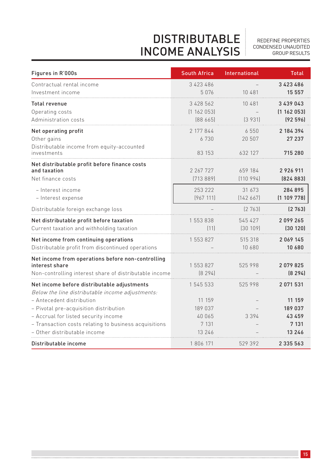REDEFINE PROPERTIES CONDENSED UNAUDITED GROUP RESULTS

# DISTRIBUTABLE INCOME ANALYSIS

| Figures in R'000s                                                                                                                                                                                    | <b>South Africa</b>                               | International             | <b>Total</b>                                     |
|------------------------------------------------------------------------------------------------------------------------------------------------------------------------------------------------------|---------------------------------------------------|---------------------------|--------------------------------------------------|
| Contractual rental income<br>Investment income                                                                                                                                                       | 3 423 486<br>5076                                 | 10 481                    | 3423486<br>15 557                                |
| <b>Total revenue</b><br>Operating costs<br>Administration costs                                                                                                                                      | 3 428 562<br>[1 162 053]<br>[88665]               | 10 481<br>[3931]          | 3 439 043<br>[1 162 053]<br>(92596)              |
| Net operating profit<br>Other gains<br>Distributable income from equity-accounted<br>investments                                                                                                     | 2 177 844<br>6730<br>83 153                       | 6550<br>20 507<br>632 127 | 2 184 394<br>27 237<br>715 280                   |
| Net distributable profit before finance costs<br>and taxation<br>Net finance costs                                                                                                                   | 2 267 727<br>[713889]                             | 659 184<br>(110994)       | 2926911<br>[824 883]                             |
| - Interest income<br>- Interest expense                                                                                                                                                              | 253 222<br>[967 111]                              | 31 673<br>[142667]        | 284 895<br>(1109778)                             |
| Distributable foreign exchange loss                                                                                                                                                                  |                                                   | [2 763]                   | (2763)                                           |
| Net distributable profit before taxation<br>Current taxation and withholding taxation                                                                                                                | 1 553 838<br>[11]                                 | 545 427<br>[30 109]       | 2099265<br>[30 120]                              |
| Net income from continuing operations<br>Distributable profit from discontinued operations                                                                                                           | 1 553 827                                         | 515 318<br>10 680         | 2 0 6 9 1 4 5<br>10 680                          |
| Net income from operations before non-controlling<br>interest share<br>Non-controlling interest share of distributable income                                                                        | 1 553 827<br>[8 294]                              | 525998                    | 2079825<br>[8 294]                               |
| Net income before distributable adjustments<br>Below the line distributable income adjustments:                                                                                                      | 1 545 533                                         | 525 998                   | 2 0 7 1 5 3 1                                    |
| - Antecedent distribution<br>- Pivotal pre-acquisition distribution<br>- Accrual for listed security income<br>- Transaction costs relating to business acquisitions<br>– Other distributable income | 11 159<br>189 037<br>40 065<br>7 1 3 1<br>13 24 6 | 3 3 9 4                   | 11 159<br>189 037<br>43 459<br>7 1 3 1<br>13 246 |
| Distributable income                                                                                                                                                                                 | 1806171                                           | 529 392                   | 2 3 3 5 5 6 3                                    |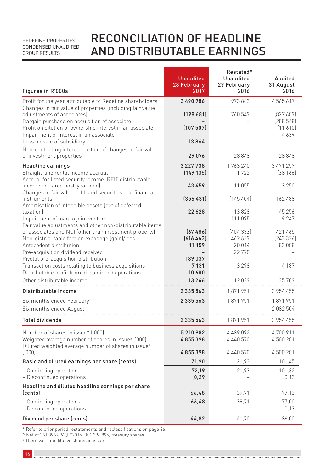# RECONCILIATION OF HEADLINE AND DISTRIBUTABLE EARNINGS

| Figures in R'000s                                                                                                                                                    | <b>Unaudited</b><br>28 February<br>2017 | Restated*<br>Unaudited<br>29 February<br>2016 | Audited<br>31 August<br>2016 |
|----------------------------------------------------------------------------------------------------------------------------------------------------------------------|-----------------------------------------|-----------------------------------------------|------------------------------|
| Profit for the year attributable to Redefine shareholders                                                                                                            | 3490986                                 | 973 843                                       | 4565617                      |
| Changes in fair value of properties (including fair value<br>adjustments of associates)<br>Bargain purchase on acquisition of associate                              | [198681]                                | 760 549                                       | [827689]<br>(288548)         |
| Profit on dilution of ownership interest in an associate<br>Impairment of interest in an associate                                                                   | (107507)                                |                                               | $(11\ 610)$<br>4639          |
| Loss on sale of subsidiary<br>Non-controlling interest portion of changes in fair value<br>of investment properties                                                  | 13864<br>29076                          | 28848                                         | 28848                        |
| Headline earnings                                                                                                                                                    | 3 227 738                               | 1763240                                       | 3 471 257                    |
| Straight-line rental income accrual<br>Accrual for listed security income (REIT distributable                                                                        | [149 135]                               | 1722                                          | [38 166]                     |
| income declared post-year-end)<br>Changes in fair values of listed securities and financial                                                                          | 43459                                   | 11 055                                        | 3 2 5 0                      |
| instruments<br>Amortisation of intangible assets (net of deferred                                                                                                    | (356431)                                | (145404)                                      | 162 488                      |
| taxation)<br>Impairment of loan to joint venture                                                                                                                     | 22628                                   | 13828<br>111 095                              | 45 256<br>9 2 4 7            |
| Fair value adjustments and other non-distributable items<br>of associates and NCI (other than investment property)<br>Non-distributable foreign exchange (gain)/loss | [67, 486]<br>(616463)                   | [404333]<br>462 629                           | 421 465<br>[243326]          |
| Antecedent distribution<br>Pre-acquisition dividend received                                                                                                         | 11 159                                  | 20 014<br>22 778                              | 83 088                       |
| Pivotal pre-acquisition distribution<br>Transaction costs relating to business acquisitions<br>Distributable profit from discontinued operations                     | 189 037<br>7 1 3 1<br>10 680            | $\overline{\phantom{a}}$<br>3 2 9 8           | 4 1 8 7                      |
| Other distributable income                                                                                                                                           | 13246                                   | 12029                                         | 35 709                       |
| Distributable income                                                                                                                                                 | 2335563                                 | 1871951                                       | 3 954 455                    |
| Six months ended February                                                                                                                                            | 2 3 3 5 5 6 3                           | 1871951                                       | 1871951                      |
| Six months ended August                                                                                                                                              |                                         |                                               | 2082504                      |
| <b>Total dividends</b>                                                                                                                                               | 2 3 3 5 5 6 3                           | 1871951                                       | 3 954 455                    |
| Number of shares in issue^ ('000)<br>Weighted average number of shares in issue# ('000)<br>Diluted weighted average number of shares in issue#                       | 5210982<br>4855398                      | 4 489 092<br>4 440 570                        | 4700911<br>4 500 281         |
| (000)                                                                                                                                                                | 4855398                                 | 4 440 570                                     | 4 500 281                    |
| Basic and diluted earnings per share (cents)                                                                                                                         | 71,90                                   | 21,93                                         | 101,45                       |
| - Continuing operations<br>- Discontinued operations                                                                                                                 | 72,19<br>(0, 29)                        | 21,93                                         | 101,32<br>0,13               |
| Headline and diluted headline earnings per share<br><i>(cents)</i>                                                                                                   | 66,48                                   | 39,71                                         | 77,13                        |
| - Continuing operations<br>- Discontinued operations                                                                                                                 | 66,48                                   | 39,71                                         | 77,00<br>0,13                |
| Dividend per share (cents)                                                                                                                                           | 44.82                                   | 41.70                                         | 86.00                        |

\* Refer to prior period restatements and reclassifications on page 26.

^ Net of 361 396 896 (FY2016: 361 396 896) treasury shares.

# There were no dilutive shares in issue.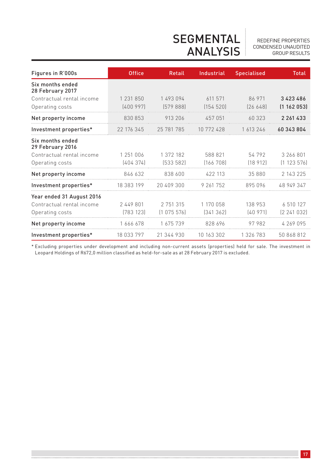## SEGMENTAL ANALYSIS

REDEFINE PROPERTIES CONDENSED UNAUDITED GROUP RESULTS

| Figures in R'000s                    | <b>Office</b> | <b>Retail</b> | Industrial | <b>Specialised</b> | <b>Total</b>  |
|--------------------------------------|---------------|---------------|------------|--------------------|---------------|
| Six months ended<br>28 February 2017 |               |               |            |                    |               |
| Contractual rental income            | 1 231 850     | 1 493 094     | 611 571    | 86 971             | 3423486       |
| Operating costs                      | [400997]      | [579 888]     | (154520)   | (26648)            | (1162053)     |
| Net property income                  | 830 853       | 913 206       | 457 051    | 60.323             | 2 2 4 4 4 3 3 |
| Investment properties*               | 22 176 345    | 25 781 785    | 10 772 428 | 1 613 246          | 60 343 804    |
| Six months ended<br>29 February 2016 |               |               |            |                    |               |
| Contractual rental income            | 1 251 006     | 1 372 182     | 588 821    | 54792              | 3 266 801     |
| Operating costs                      | [404374]      | [533 582]     | [166 708]  | (18912)            | (1123576)     |
| Net property income                  | 846 632       | 838 600       | 422 113    | 35880              | 2 143 225     |
| Investment properties*               | 18 383 199    | 20 409 300    | 9 261 752  | 895 096            | 48 949 347    |
| Year ended 31 August 2016            |               |               |            |                    |               |
| Contractual rental income            | 2 4 4 9 8 0 1 | 2 751 315     | 1 170 058  | 138 953            | 6 510 127     |
| Operating costs                      | (783 123)     | (1075576)     | [341362]   | (40971)            | (2241032)     |
| Net property income                  | 1 666 678     | 1 675 739     | 828 696    | 97982              | 4 269 095     |
| Investment properties*               | 18 033 797    | 21 344 930    | 10 163 302 | 1 326 783          | 50 868 812    |

\* Excluding properties under development and including non-current assets (properties) held for sale. The investment in Leopard Holdings of R672,0 million classified as held-for-sale as at 28 February 2017 is excluded.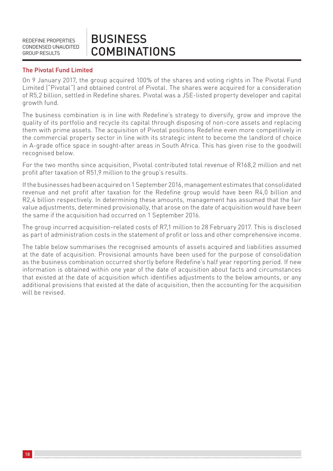### BUSINESS **COMBINATIONS**

### The Pivotal Fund Limited

On 9 January 2017, the group acquired 100% of the shares and voting rights in The Pivotal Fund Limited ("Pivotal") and obtained control of Pivotal. The shares were acquired for a consideration of R5,2 billion, settled in Redefine shares. Pivotal was a JSE-listed property developer and capital growth fund.

The business combination is in line with Redefine's strategy to diversify, grow and improve the quality of its portfolio and recycle its capital through disposing of non-core assets and replacing them with prime assets. The acquisition of Pivotal positions Redefine even more competitively in the commercial property sector in line with its strategic intent to become the landlord of choice in A-grade office space in sought-after areas in South Africa. This has given rise to the goodwill recognised below.

For the two months since acquisition, Pivotal contributed total revenue of R168,2 million and net profit after taxation of R51,9 million to the group's results.

If the businesses had been acquired on 1 September 2016, management estimates that consolidated revenue and net profit after taxation for the Redefine group would have been R4,0 billion and R2,4 billion respectively. In determining these amounts, management has assumed that the fair value adjustments, determined provisionally, that arose on the date of acquisition would have been the same if the acquisition had occurred on 1 September 2016.

The group incurred acquisition-related costs of R7,1 million to 28 February 2017. This is disclosed as part of administration costs in the statement of profit or loss and other comprehensive income.

The table below summarises the recognised amounts of assets acquired and liabilities assumed at the date of acquisition. Provisional amounts have been used for the purpose of consolidation as the business combination occurred shortly before Redefine's half year reporting period. If new information is obtained within one year of the date of acquisition about facts and circumstances that existed at the date of acquisition which identifies adjustments to the below amounts, or any additional provisions that existed at the date of acquisition, then the accounting for the acquisition will be revised.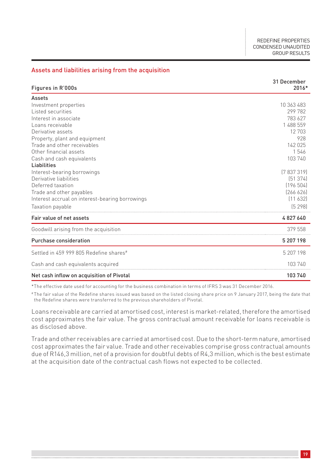#### Assets and liabilities arising from the acquisition

| Figures in R'000s                               | 31 December<br>2016* |
|-------------------------------------------------|----------------------|
| Assets                                          |                      |
| Investment properties                           | 10 363 483           |
| Listed securities                               | 299 782              |
| Interest in associate                           | 783 627              |
| Loans receivable                                | 1 488 559            |
| Derivative assets                               | 12 703               |
| Property, plant and equipment                   | 928                  |
| Trade and other receivables                     | 142 025              |
| Other financial assets                          | 1546                 |
| Cash and cash equivalents                       | 103 740              |
| Liabilities                                     |                      |
| Interest-bearing borrowings                     | [7837319]            |
| Derivative liabilities                          | [51374]              |
| Deferred taxation                               | [196 504]            |
| Trade and other payables                        | [266 626]            |
| Interest accrual on interest-bearing borrowings | [11 632]             |
| Taxation payable                                | (5298)               |
| Fair value of net assets                        | 4827640              |
| Goodwill arising from the acquisition           | 379 558              |
| Purchase consideration                          | 5 207 198            |
| Settled in 459 999 805 Redefine shares#         | 5 207 198            |
| Cash and cash equivalents acquired              | 103 740              |
| Net cash inflow on acquisition of Pivotal       | 103 740              |

\*The effective date used for accounting for the business combination in terms of IFRS 3 was 31 December 2016.

# The fair value of the Redefine shares issued was based on the listed closing share price on 9 January 2017, being the date that the Redefine shares were transferred to the previous shareholders of Pivotal.

Loans receivable are carried at amortised cost, interest is market-related, therefore the amortised cost approximates the fair value. The gross contractual amount receivable for loans receivable is as disclosed above.

Trade and other receivables are carried at amortised cost. Due to the short-term nature, amortised cost approximates the fair value. Trade and other receivables comprise gross contractual amounts due of R146,3 million, net of a provision for doubtful debts of R4,3 million, which is the best estimate at the acquisition date of the contractual cash flows not expected to be collected.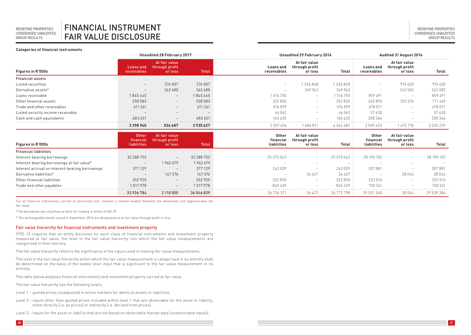**Categories of financial instruments**

### FINANCIAL INSTRUMENT FAIR VALUE DISCLOSURE

|                                   | Unaudited 28 February 2017      |                                            |         | Unaudited 29 February 2016 |                                            |               | Audited 31 August 2016   |                                            |           |  |
|-----------------------------------|---------------------------------|--------------------------------------------|---------|----------------------------|--------------------------------------------|---------------|--------------------------|--------------------------------------------|-----------|--|
| Figures in R'000s                 | Loans and<br>receivables        | At fair value<br>through profit<br>or loss | Total   | Loans and<br>receivables   | At fair value<br>through profit<br>or loss | Total         | Loans and<br>receivables | At fair value<br>through profit<br>or loss | Total     |  |
| <b>Financial assets</b>           |                                 |                                            |         |                            |                                            |               |                          |                                            |           |  |
| Listed securities                 | $\hspace{0.1mm}-\hspace{0.1mm}$ | 274 007                                    | 274 007 | -                          | 1336848                                    | 1336848       | $\overline{\phantom{a}}$ | 974620                                     | 974620    |  |
| Derivative assets#                | $\overline{\phantom{0}}$        | 262680                                     | 262680  | $\sim$                     | 349 963                                    | 349 963       | $\overline{\phantom{a}}$ | 245 582                                    | 245 582   |  |
| Loans receivable                  | 1845445                         | $-$                                        | 1845445 | 1516750                    | $\overline{\phantom{a}}$                   | 516 750       | 859491                   |                                            | 859 491   |  |
| Other financial assets            | 258 583                         | $\overline{\phantom{a}}$                   | 258 583 | 252830                     | $\hspace{0.1mm}-\hspace{0.1mm}$            | 252830        | 455895                   | 255 574                                    | 711 469   |  |
| Trade and other receivables       | 611 261                         | $\hspace{0.1mm}-\hspace{0.1mm}$            | 611 261 | 576 599                    | $\overline{\phantom{a}}$                   | 576 599       | 478 071                  | $\sim$                                     | 478 071   |  |
| Listed security income receivable | $\overline{\phantom{a}}$        | $\overline{\phantom{a}}$                   |         | 46062                      | $\hspace{0.1mm}-\hspace{0.1mm}$            | 46 062        | 57630                    | $\sim$                                     | 57630     |  |
| Cash and cash equivalents         | 683 651                         | $\overline{\phantom{0}}$                   | 683 651 | 165435                     | $\overline{\phantom{a}}$                   | 165 435       | 208366                   | $\sim$                                     | 208366    |  |
|                                   | 3398940                         | 536 687                                    | 3935627 | 2 5 5 7 6 7 6              | 1686811                                    | 4 2 4 4 4 8 7 | 2059453                  | 1475776                                    | 3 535 229 |  |

| <b>Figures in R'000s</b>                        | Other<br>financial<br>liabilities | At fair value<br>through profit<br>or loss | Total      | <b>Other</b><br>financial<br>liabilities | At fair value<br>through profit<br>or loss | Total      | Other<br>financial<br>liabilities | At fair value<br>through profit<br>or loss | Total      |
|-------------------------------------------------|-----------------------------------|--------------------------------------------|------------|------------------------------------------|--------------------------------------------|------------|-----------------------------------|--------------------------------------------|------------|
| <b>Financial liabilities</b>                    |                                   |                                            |            |                                          |                                            |            |                                   |                                            |            |
| Interest-bearing borrowings                     | 32 288 752                        | $-$                                        | 32 288 752 | 25 375 043                               | <b>Service</b>                             | 25 375 043 | 28 190 102                        | $\overline{\phantom{a}}$                   | 28 190 102 |
| Interest-bearing borrowings at fair value*      | $\hspace{0.1mm}-\hspace{0.1mm}$   | 1962679                                    | 1962679    |                                          |                                            |            |                                   | $\qquad \qquad$                            |            |
| Interest accrual on interest-bearing borrowings | 377 129                           | $\overline{\phantom{a}}$                   | 377 129    | 263039                                   |                                            | 263039     | 307881                            | $\qquad \qquad$                            | 307881     |
| Derivative liabilities#                         | $\hspace{0.1mm}-\hspace{0.1mm}$   | 147 376                                    | 147 376    |                                          | 36427                                      | 36 4 27    |                                   | 38044                                      | 38044      |
| Other financial liabilities                     | 252925                            | $\overline{\phantom{a}}$                   | 252925     | 252830                                   |                                            | 252 830    | 253016                            | $\hspace{0.1mm}-\hspace{0.1mm}$            | 253 016    |
| Trade and other payables                        | 1017978                           |                                            | 1017978    | 845459                                   |                                            | 845459     | 750341                            | -                                          | 750 341    |
|                                                 | 33 936 784                        | 2 110 055                                  | 36046839   | 26 736 371                               | 36427                                      | 26 772 798 | 29 501 340                        | 38044                                      | 29 539 384 |

For all financial instruments carried at amortised cost, interest is market-related therefore the amortised cost approximates the fair value.

# The derivatives are classified as held-for-trading in terms of IAS 39.

\* The exchangeable bonds issued in September 2016 are designated as at fair value through profit or loss.

#### Fair value hierarchy for financial instruments and investment property

IFRS 13 requires that an entity discloses for each class of financial instruments and investment property measured at fair value, the level in the fair value hierarchy into which the fair value measurements are categorised in their entirety.

The fair value hierarchy reflects the significance of the inputs used in making fair value measurements.

The level in the fair value hierarchy within which the fair value measurement is categorised in its entirety shall be determined on the basis of the lowest level input that is significant to the fair value measurement in its entirety.

The table below analyses financial instruments and investment property carried at fair value.

The fair value hierarchy has the following levels:

- Level 1 quoted prices (unadjusted) in active markets for identical assets or liabilities.
- Level 2 inputs other than quoted prices included within level 1 that are observable for the asset or liability, either directly (i.e. as prices) or indirectly (i.e. derived from prices).
- Level 3 inputs for the asset or liability that are not based on observable market data (unobservable inputs).
- $20$  and the contract of the contract of the contract of the contract of the contract of the contract of  $21$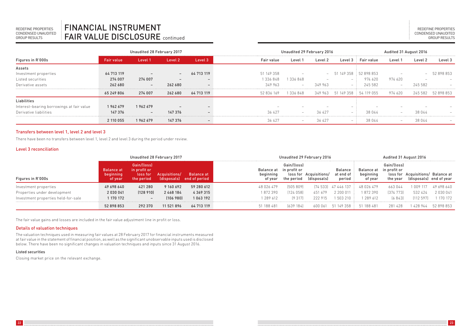REDEFINE PROPERTIES CONDENSED UNAUDITED GROUP RESULTS

|                                           |            | Unaudited 28 February 2017 |         |            | Unaudited 29 February 2016 |                          |         |                                 | Audited 31 August 2016 |                          |         |                    |
|-------------------------------------------|------------|----------------------------|---------|------------|----------------------------|--------------------------|---------|---------------------------------|------------------------|--------------------------|---------|--------------------|
| Figures in R'000s                         | Fair value | Level 1                    | Level 2 | Level 3    | Fair value                 | Level 1                  | Level 2 |                                 | Level 3 Fair value     | Level 1                  | Level 2 | Level 3            |
| Assets                                    |            |                            |         |            |                            |                          |         |                                 |                        |                          |         |                    |
| Investment properties                     | 64 713 119 | $\overline{\phantom{0}}$   |         | 64 713 119 | 51 149 358                 | $\overline{\phantom{a}}$ | $\sim$  | 51 149 358 : 52 898 853         |                        | $\overline{\phantom{a}}$ |         | $-52898853$        |
| Listed securities                         | 274 007    | 274 007                    |         |            | 1336848                    | 336848                   | $\sim$  | $-1$                            | 974 620                | 974620                   | $\sim$  |                    |
| Derivative assets                         | 262 680    | $\overline{\phantom{0}}$   | 262 680 |            | 349 963                    | $\sim$                   | 349 963 | $\sim$                          | 245 582                |                          | 245 582 |                    |
|                                           | 65 249 806 | 274 007                    | 262 680 | 64 713 119 | 52 836 169                 | 1336848                  |         | 349 963 51 149 358 : 54 119 055 |                        | 974 620                  |         | 245 582 52 898 853 |
| Liabilities                               |            |                            |         |            |                            |                          |         |                                 |                        |                          |         |                    |
| Interest-bearing borrowings at fair value | 1962679    | 1962679                    |         |            |                            |                          |         |                                 | $\sim$                 |                          |         |                    |
| Derivative liabilities                    | 147 376    | $-$                        | 147 376 |            | 36 427                     |                          | 36 427  | -                               | 38 044                 |                          | 38 044  |                    |
|                                           | 2 110 055  | 1962679                    | 147 376 |            | 36 427                     | $\overline{\phantom{a}}$ | 36 427  | -                               | 38 044                 | $\sim$                   | 38 044  |                    |

#### Transfers between level 1, level 2 and level 3

There have been no transfers between level 1, level 2 and level 3 during the period under review.

#### Level 3 reconciliation

|                                                       | Unaudited 28 February 2017                |                                           |                         | Unaudited 29 February 2016              |                                    | Audited 31 August 2016                    |                                       |                                  |                                    |                                         |                                                              |                       |
|-------------------------------------------------------|-------------------------------------------|-------------------------------------------|-------------------------|-----------------------------------------|------------------------------------|-------------------------------------------|---------------------------------------|----------------------------------|------------------------------------|-----------------------------------------|--------------------------------------------------------------|-----------------------|
| Figures in R'000s                                     | <b>Balance at</b><br>beginning<br>of year | Gain/(loss)<br>in profit or<br>the period | (loss for Acquisitions) | Balance at<br>(disposals) end of period | Balance at<br>beginning<br>of year | Gain/(loss)<br>in profit or<br>the period | loss for Acquisitions/<br>(disposals) | Balance<br>at end of<br>period   | Balance at<br>beginning<br>of year | Gain/(loss)<br>in profit or<br>the year | loss for Acquisitions/ Balance at<br>(disposals) end of year |                       |
| Investment properties<br>Properties under development | 49 698 640<br>2 030 041                   | 421 280<br>[128910]                       | 9 160 692<br>2468184    | 59 280 612<br>4 3 6 9 3 1 5             | 48 026 479<br>1872390              | [505809]<br>[124058]                      | 451 679                               | [74 533] 47 446 137<br>2 200 011 | 48 026 479<br>1872390              | 663044<br>[374 773]                     | 1 009 117<br>532 424                                         | 49 698 640<br>2030041 |
| Investment properties held-for-sale                   | 1 170 172                                 | $\overline{\phantom{0}}$                  | (106, 980)              | 1063192                                 | 1 289 612                          | (9317)                                    | 222 915                               | 1 503 210                        | 1 289 612                          | (6843)                                  | (112 597)                                                    | 1 170 172             |
|                                                       | 52 898 853                                | 292 370                                   | 11 521 896              | 64 713 119                              | 51 188 481                         | [639 184]                                 | 600 061                               | 51 149 358 :                     | 51 188 481                         | 281 428                                 | 1 428 944                                                    | 52898853              |

The fair value gains and losses are included in the fair value adjustment line in profit or loss.

#### Details of valuation techniques

The valuation techniques used in measuring fair values at 28 February 2017 for financial instruments measured at fair value in the statement of financial position, as well as the significant unobservable inputs used is disclosed below. There have been no significant changes in valuation techniques and inputs since 31 August 2016.

#### Listed securities

Closing market price on the relevant exchange.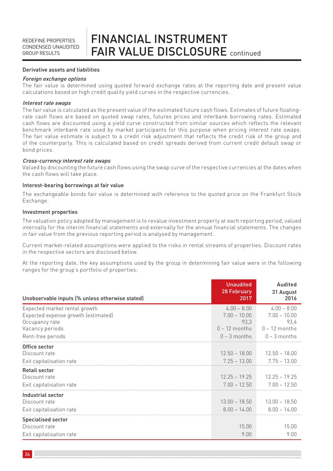### FINANCIAL INSTRUMENT FAIR VALUE DISCLOSURE continued

#### Derivative assets and liabilities

#### Foreign exchange options

The fair value is determined using quoted forward exchange rates at the reporting date and present value calculations based on high credit quality yield curves in the respective currencies.

#### Interest rate swaps

The fair value is calculated as the present value of the estimated future cash flows. Estimates of future floatingrate cash flows are based on quoted swap rates, futures prices and interbank borrowing rates. Estimated cash flows are discounted using a yield curve constructed from similar sources which reflects the relevant benchmark interbank rate used by market participants for this purpose when pricing interest rate swaps. The fair value estimate is subject to a credit risk adjustment that reflects the credit risk of the group and of the counterparty. This is calculated based on credit spreads derived from current credit default swap or bond prices.

#### Cross-currency interest rate swaps

Valued by discounting the future cash flows using the swap curve of the respective currencies at the dates when the cash flows will take place.

#### Interest-bearing borrowings at fair value

The exchangeable bonds fair value is determined with reference to the quoted price on the Frankfurt Stock Exchange.

#### Investment properties

The valuation policy adopted by management is to revalue investment property at each reporting period, valued internally for the interim financial statements and externally for the annual financial statements. The changes in fair value from the previous reporting period is analysed by management.

Current market-related assumptions were applied to the risks in rental streams of properties. Discount rates in the respective sectors are disclosed below.

At the reporting date, the key assumptions used by the group in determining fair value were in the following ranges for the group's portfolio of properties:

| Unobservable inputs (% unless otherwise stated)                                                                                | <b>Unaudited</b><br>28 February<br>2017                                      | Audited<br>31 August<br>2016                                                 |
|--------------------------------------------------------------------------------------------------------------------------------|------------------------------------------------------------------------------|------------------------------------------------------------------------------|
| Expected market rental growth<br>Expected expense growth (estimated)<br>Occupancy rate<br>Vacancy periods<br>Rent-free periods | $4.00 - 8.00$<br>$7.00 - 10.00$<br>93,3<br>$0 - 12$ months<br>$0 - 3$ months | $4.00 - 8.00$<br>$7.00 - 10.00$<br>93.4<br>$0 - 12$ months<br>$0 - 3$ months |
| Office sector<br>Discount rate<br>Exit capitalisation rate                                                                     | $12.50 - 18.00$<br>$7.25 - 13.00$                                            | $12.50 - 18.00$<br>$7.75 - 13.00$                                            |
| <b>Retail sector</b><br>Discount rate<br>Exit capitalisation rate                                                              | $12.25 - 19.25$<br>$7.00 - 12.50$                                            | $12.25 - 19.25$<br>$7.00 - 12.50$                                            |
| Industrial sector<br>Discount rate<br>Exit capitalisation rate                                                                 | $13.00 - 18.50$<br>$8.00 - 14.00$                                            | $13.00 - 18.50$<br>$8.00 - 14.00$                                            |
| <b>Specialised sector</b><br>Discount rate<br>Exit capitalisation rate                                                         | 15.00<br>9.00                                                                | 15.00<br>9.00                                                                |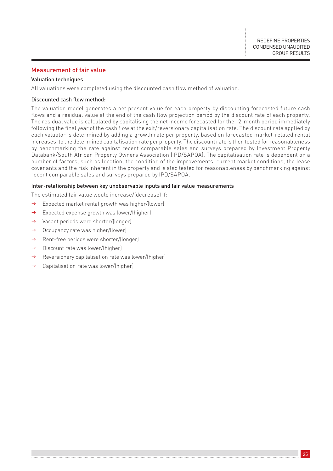#### Measurement of fair value

#### Valuation techniques

All valuations were completed using the discounted cash flow method of valuation.

#### Discounted cash flow method:

The valuation model generates a net present value for each property by discounting forecasted future cash flows and a residual value at the end of the cash flow projection period by the discount rate of each property. The residual value is calculated by capitalising the net income forecasted for the 12-month period immediately following the final year of the cash flow at the exit/reversionary capitalisation rate. The discount rate applied by each valuator is determined by adding a growth rate per property, based on forecasted market-related rental increases, to the determined capitalisation rate per property. The discount rate is then tested for reasonableness by benchmarking the rate against recent comparable sales and surveys prepared by Investment Property Databank/South African Property Owners Association (IPD/SAPOA). The capitalisation rate is dependent on a number of factors, such as location, the condition of the improvements, current market conditions, the lease covenants and the risk inherent in the property and is also tested for reasonableness by benchmarking against recent comparable sales and surveys prepared by IPD/SAPOA.

#### Inter-relationship between key unobservable inputs and fair value measurements

The estimated fair value would increase/(decrease) if:

- $\rightarrow$  Expected market rental growth was higher/(lower)
- $\rightarrow$  Expected expense growth was lower/(higher)
- $\rightarrow$  Vacant periods were shorter/(longer)
- $\rightarrow$  Occupancy rate was higher/(lower)
- $\rightarrow$  Rent-free periods were shorter/(longer)
- $\rightarrow$  Discount rate was lower/(higher)
- $\rightarrow$  Reversionary capitalisation rate was lower/(higher)
- $\rightarrow$  Capitalisation rate was lower/(higher)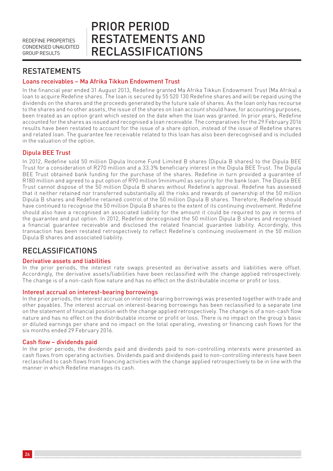## PRIOR PERIOD RESTATEMENTS AND RECLASSIFICATIONS

### **RESTATEMENTS**

### Loans receivables – Ma Afrika Tikkun Endowment Trust

In the financial year ended 31 August 2013, Redefine granted Ma Afrika Tikkun Endowment Trust (Ma Afrika) a loan to acquire Redefine shares. The loan is secured by 55 520 130 Redefine shares and will be repaid using the dividends on the shares and the proceeds generated by the future sale of shares. As the loan only has recourse to the shares and no other assets, the issue of the shares on loan account should have, for accounting purposes, been treated as an option grant which vested on the date when the loan was granted. In prior years, Redefine accounted for the shares as issued and recognised a loan receivable. The comparatives for the 29 February 2016 results have been restated to account for the issue of a share option, instead of the issue of Redefine shares and related loan. The guarantee fee receivable related to this loan has also been derecognised and is included in the valuation of the option.

#### Dipula BEE Trust

In 2012, Redefine sold 50 million Dipula Income Fund Limited B shares (Dipula B shares) to the Dipula BEE Trust for a consideration of R270 million and a 33.3% beneficiary interest in the Dipula BEE Trust. The Dipula BEE Trust obtained bank funding for the purchase of the shares. Redefine in turn provided a guarantee of R180 million and agreed to a put option of R90 million (minimum) as security for the bank loan. The Dipula BEE Trust cannot dispose of the 50 million Dipula B shares without Redefine's approval. Redefine has assessed that it neither retained nor transferred substantially all the risks and rewards of ownership of the 50 million Dipula B shares and Redefine retained control of the 50 million Dipula B shares. Therefore, Redefine should have continued to recognise the 50 million Dipula B shares to the extent of its continuing involvement. Redefine should also have a recognised an associated liability for the amount it could be required to pay in terms of the guarantee and put option. In 2012, Redefine derecognised the 50 million Dipula B shares and recognised a financial guarantee receivable and disclosed the related financial guarantee liability. Accordingly, this transaction has been restated retrospectively to reflect Redefine's continuing involvement in the 50 million Dipula B shares and associated liability.

### RECLASSIFICATIONS

#### Derivative assets and liabilities

In the prior periods, the interest rate swaps presented as derivative assets and liabilities were offset. Accordingly, the derivative assets/liabilities have been reclassified with the change applied retrospectively. The change is of a non-cash flow nature and has no effect on the distributable income or profit or loss.

#### Interest accrual on interest-bearing borrowings

In the prior periods, the interest accrual on interest-bearing borrowings was presented together with trade and other payables. The interest accrual on interest-bearing borrowings has been reclassified to a separate line on the statement of financial position with the change applied retrospectively. The change is of a non-cash flow nature and has no effect on the distributable income or profit or loss. There is no impact on the group's basic or diluted earnings per share and no impact on the total operating, investing or financing cash flows for the six months ended 29 February 2016.

#### Cash flow – dividends paid

In the prior periods, the dividends paid and dividends paid to non-controlling interests were presented as cash flows from operating activities. Dividends paid and dividends paid to non-controlling interests have been reclassified to cash flows from financing activities with the change applied retrospectively to be in line with the manner in which Redefine manages its cash.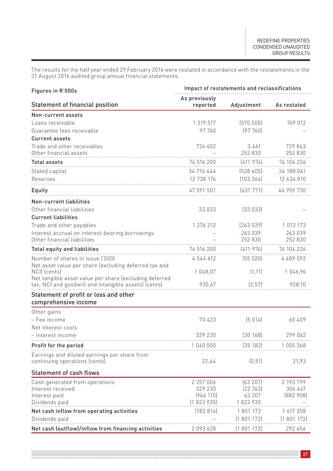The results for the half year ended 29 February 2016 were restated in accordance with the restatements in the 31 August 2016 audited group annual financial statements.

| Figures in R'000s                                                                                              | Impact of restatements and reclassifications |             |             |  |  |  |  |  |
|----------------------------------------------------------------------------------------------------------------|----------------------------------------------|-------------|-------------|--|--|--|--|--|
| Statement of financial position                                                                                | As previously<br>reported                    | Adjustment  | As restated |  |  |  |  |  |
| Non-current assets                                                                                             |                                              |             |             |  |  |  |  |  |
| Loans receivable                                                                                               | 1 319 517                                    | (570 505)   | 749 012     |  |  |  |  |  |
| Guarantee fees receivable                                                                                      | 97 760                                       | [97760]     |             |  |  |  |  |  |
| <b>Current assets</b>                                                                                          |                                              |             |             |  |  |  |  |  |
| Trade and other receivables                                                                                    | 726 402                                      | 3461        | 729 863     |  |  |  |  |  |
| Other financial assets                                                                                         |                                              | 252 830     | 252 830     |  |  |  |  |  |
| <b>Total assets</b>                                                                                            | 74 516 200                                   | (411974)    | 74 104 226  |  |  |  |  |  |
| Stated capital                                                                                                 | 34 716 446                                   | [528 405]   | 34 188 041  |  |  |  |  |  |
| Reserves                                                                                                       | 12 738 176                                   | (103366)    | 12 634 810  |  |  |  |  |  |
| Equity                                                                                                         | 47 591 501                                   | (631771)    | 46 959 730  |  |  |  |  |  |
| Non-current liabilities                                                                                        |                                              |             |             |  |  |  |  |  |
| Other financial liabilities                                                                                    | 33 033                                       | (33033)     |             |  |  |  |  |  |
| <b>Current liabilities</b>                                                                                     |                                              |             |             |  |  |  |  |  |
| Trade and other payables                                                                                       | 1 276 212                                    | (263039)    | 1 013 173   |  |  |  |  |  |
| Interest accrual on interest-bearing borrowings                                                                |                                              | 263 039     | 263 039     |  |  |  |  |  |
| Other financial liabilities                                                                                    |                                              | 252 830     | 252 830     |  |  |  |  |  |
| Total equity and liabilities                                                                                   | 74 516 200                                   | (411974)    | 74 104 226  |  |  |  |  |  |
| Number of shares in issue ('000)                                                                               | 4 544 612                                    | (55 520)    | 4489092     |  |  |  |  |  |
| Net asset value per share (excluding deferred tax and<br>NCII (cents)                                          | 1 048,07                                     | (1, 11)     | 1046,96     |  |  |  |  |  |
| Net tangible asset value per share (excluding deferred<br>tax, NCI and goodwill and intangible assets) (cents) | 930,67                                       | [2,57]      | 928,10      |  |  |  |  |  |
| Statement of profit or loss and other<br>comprehensive income                                                  |                                              |             |             |  |  |  |  |  |
| Other gains                                                                                                    |                                              |             |             |  |  |  |  |  |
| – Fee income                                                                                                   | 70 423                                       | (5014)      | 65 409      |  |  |  |  |  |
| Net interest costs                                                                                             |                                              |             |             |  |  |  |  |  |
| Interest income                                                                                                | 329 230                                      | [30 168]    | 299 062     |  |  |  |  |  |
| Profit for the period                                                                                          | 1 040 550                                    | 135 1821    | 1005368     |  |  |  |  |  |
| Earnings and diluted earnings per share from<br>continuing operations (cents)                                  | 22,44                                        | (0, 51)     | 21,93       |  |  |  |  |  |
| Statement of cash flows                                                                                        |                                              |             |             |  |  |  |  |  |
| Cash generated from operations                                                                                 | 2 257 006                                    | (63207)     | 2 193 799   |  |  |  |  |  |
| Interest received                                                                                              | 329 230                                      | [22 763]    | 306 467     |  |  |  |  |  |
| Interest paid                                                                                                  | [946 115]                                    | 63 207      | (882908)    |  |  |  |  |  |
| Dividends paid                                                                                                 | (1823935)                                    | 1823935     |             |  |  |  |  |  |
| Net cash inflow from operating activities                                                                      | (183 814)                                    | 1801172     | 1 617 358   |  |  |  |  |  |
| Dividends paid                                                                                                 |                                              | (1801172)   | (1801172)   |  |  |  |  |  |
| Net cash (outflow)/inflow from financing activities                                                            | 2 093 628                                    | [1 801 172] | 292 456     |  |  |  |  |  |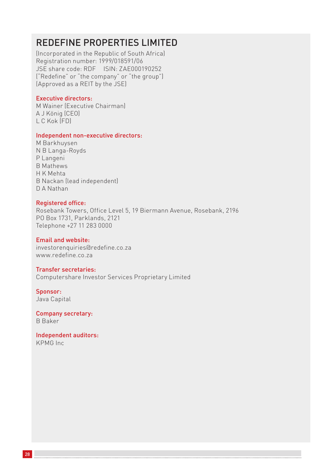### REDEFINE PROPERTIES LIMITED

(Incorporated in the Republic of South Africa) Registration number: 1999/018591/06 JSE share code: RDF ISIN: ZAE000190252 ("Redefine" or "the company" or "the group") (Approved as a REIT by the JSE)

#### Executive directors:

M Wainer (Executive Chairman) A J König (CEO) L C Kok (FD)

#### Independent non-executive directors:

M Barkhuysen N B Langa-Royds P Langeni B Mathews H K Mehta B Nackan (lead independent) D A Nathan

#### Registered office:

Rosebank Towers, Office Level 5, 19 Biermann Avenue, Rosebank, 2196 PO Box 1731, Parklands, 2121 Telephone +27 11 283 0000

#### Email and website:

investorenquiries@redefine.co.za www.redefine.co.za

#### Transfer secretaries:

Computershare Investor Services Proprietary Limited

Sponsor: Java Capital

Company secretary: B Baker

Independent auditors: KPMG Inc